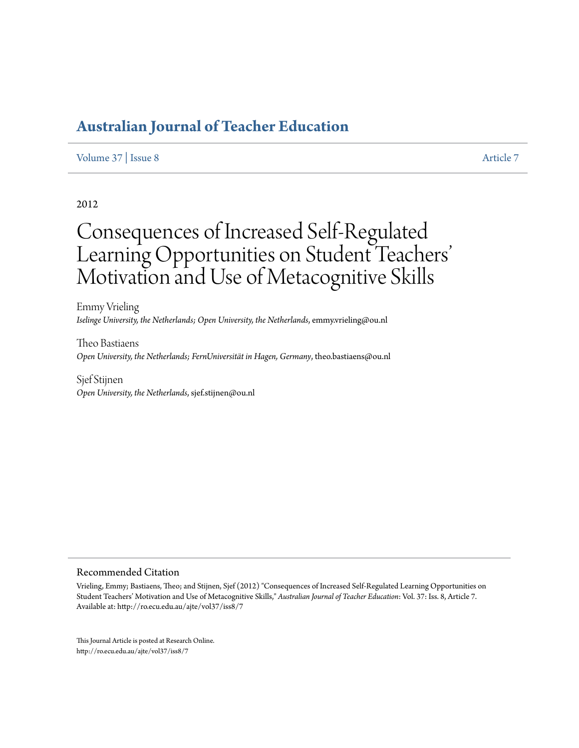### [Volume 37](http://ro.ecu.edu.au/ajte/vol37) | [Issue 8](http://ro.ecu.edu.au/ajte/vol37/iss8) [Article 7](http://ro.ecu.edu.au/ajte/vol37/iss8/7)

## 2012

# Consequences of Increased Self-Regulated Learning Opportunities on Student Teachers' ' Motivation and Use of Metacognitive Skills

Emmy Vrieling *Iselinge University, the Netherlands; Open University, the Netherlands*, emmy.vrieling@ou.nl

Theo Bastiaens *Open University, the Netherlands; FernUniversität in Hagen, Germany*, theo.bastiaens@ou.nl

Sjef Stijnen *Open University, the Netherlands*, sjef.stijnen@ou.nl

#### Recommended Citation

Vrieling, Emmy; Bastiaens, Theo; and Stijnen, Sjef (2012) "Consequences of Increased Self-Regulated Learning Opportunities on Student Teachers' Motivation and Use of Metacognitive Skills," *Australian Journal of Teacher Education*: Vol. 37: Iss. 8, Article 7. Available at: http://ro.ecu.edu.au/ajte/vol37/iss8/7

This Journal Article is posted at Research Online. http://ro.ecu.edu.au/ajte/vol37/iss8/7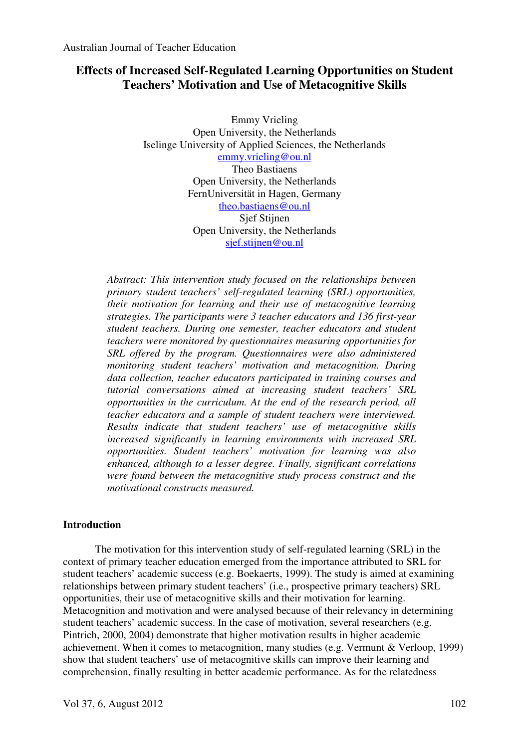# **Effects of Increased Self-Regulated Learning Opportunities on Student Teachers' Motivation and Use of Metacognitive Skills**

Emmy Vrieling Open University, the Netherlands Iselinge University of Applied Sciences, the Netherlands emmy.vrieling@ou.nl Theo Bastiaens Open University, the Netherlands FernUniversität in Hagen, Germany theo.bastiaens@ou.nl Sjef Stijnen Open University, the Netherlands sjef.stijnen@ou.nl

*Abstract: This intervention study focused on the relationships between primary student teachers' self-regulated learning (SRL) opportunities, their motivation for learning and their use of metacognitive learning strategies. The participants were 3 teacher educators and 136 first-year student teachers. During one semester, teacher educators and student teachers were monitored by questionnaires measuring opportunities for SRL offered by the program. Questionnaires were also administered monitoring student teachers' motivation and metacognition. During data collection, teacher educators participated in training courses and tutorial conversations aimed at increasing student teachers' SRL opportunities in the curriculum. At the end of the research period, all teacher educators and a sample of student teachers were interviewed. Results indicate that student teachers' use of metacognitive skills increased significantly in learning environments with increased SRL opportunities. Student teachers' motivation for learning was also enhanced, although to a lesser degree. Finally, significant correlations were found between the metacognitive study process construct and the motivational constructs measured.* 

# **Introduction**

 The motivation for this intervention study of self-regulated learning (SRL) in the context of primary teacher education emerged from the importance attributed to SRL for student teachers' academic success (e.g. Boekaerts, 1999). The study is aimed at examining relationships between primary student teachers' (i.e., prospective primary teachers) SRL opportunities, their use of metacognitive skills and their motivation for learning. Metacognition and motivation and were analysed because of their relevancy in determining student teachers' academic success. In the case of motivation, several researchers (e.g. Pintrich, 2000, 2004) demonstrate that higher motivation results in higher academic achievement. When it comes to metacognition, many studies (e.g. Vermunt & Verloop, 1999) show that student teachers' use of metacognitive skills can improve their learning and comprehension, finally resulting in better academic performance. As for the relatedness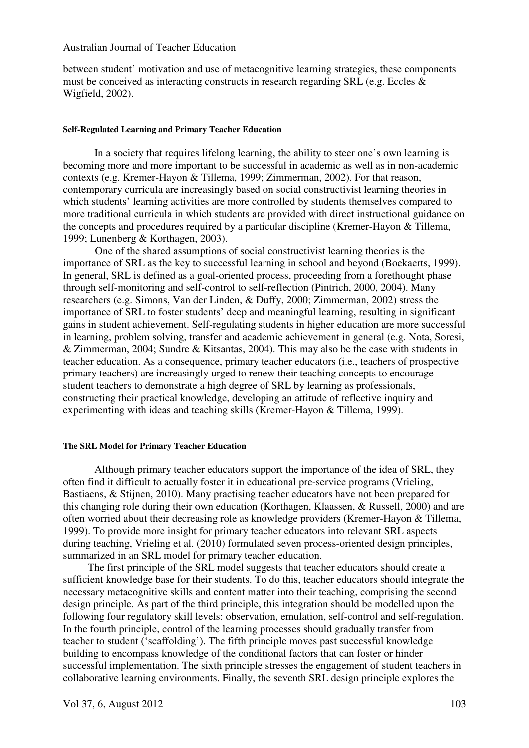between student' motivation and use of metacognitive learning strategies, these components must be conceived as interacting constructs in research regarding SRL (e.g. Eccles & Wigfield, 2002).

#### **Self-Regulated Learning and Primary Teacher Education**

 In a society that requires lifelong learning, the ability to steer one's own learning is becoming more and more important to be successful in academic as well as in non-academic contexts (e.g. Kremer-Hayon & Tillema, 1999; Zimmerman, 2002). For that reason, contemporary curricula are increasingly based on social constructivist learning theories in which students' learning activities are more controlled by students themselves compared to more traditional curricula in which students are provided with direct instructional guidance on the concepts and procedures required by a particular discipline (Kremer-Hayon & Tillema, 1999; Lunenberg & Korthagen, 2003).

 One of the shared assumptions of social constructivist learning theories is the importance of SRL as the key to successful learning in school and beyond (Boekaerts, 1999). In general, SRL is defined as a goal-oriented process, proceeding from a forethought phase through self-monitoring and self-control to self-reflection (Pintrich, 2000, 2004). Many researchers (e.g. Simons, Van der Linden, & Duffy, 2000; Zimmerman, 2002) stress the importance of SRL to foster students' deep and meaningful learning, resulting in significant gains in student achievement. Self-regulating students in higher education are more successful in learning, problem solving, transfer and academic achievement in general (e.g. Nota, Soresi, & Zimmerman, 2004; Sundre & Kitsantas, 2004). This may also be the case with students in teacher education. As a consequence, primary teacher educators (i.e., teachers of prospective primary teachers) are increasingly urged to renew their teaching concepts to encourage student teachers to demonstrate a high degree of SRL by learning as professionals, constructing their practical knowledge, developing an attitude of reflective inquiry and experimenting with ideas and teaching skills (Kremer-Hayon & Tillema, 1999).

#### **The SRL Model for Primary Teacher Education**

 Although primary teacher educators support the importance of the idea of SRL, they often find it difficult to actually foster it in educational pre-service programs (Vrieling, Bastiaens, & Stijnen, 2010). Many practising teacher educators have not been prepared for this changing role during their own education (Korthagen, Klaassen, & Russell, 2000) and are often worried about their decreasing role as knowledge providers (Kremer-Hayon & Tillema, 1999). To provide more insight for primary teacher educators into relevant SRL aspects during teaching, Vrieling et al. (2010) formulated seven process-oriented design principles, summarized in an SRL model for primary teacher education.

 The first principle of the SRL model suggests that teacher educators should create a sufficient knowledge base for their students. To do this, teacher educators should integrate the necessary metacognitive skills and content matter into their teaching, comprising the second design principle. As part of the third principle, this integration should be modelled upon the following four regulatory skill levels: observation, emulation, self-control and self-regulation. In the fourth principle, control of the learning processes should gradually transfer from teacher to student ('scaffolding'). The fifth principle moves past successful knowledge building to encompass knowledge of the conditional factors that can foster or hinder successful implementation. The sixth principle stresses the engagement of student teachers in collaborative learning environments. Finally, the seventh SRL design principle explores the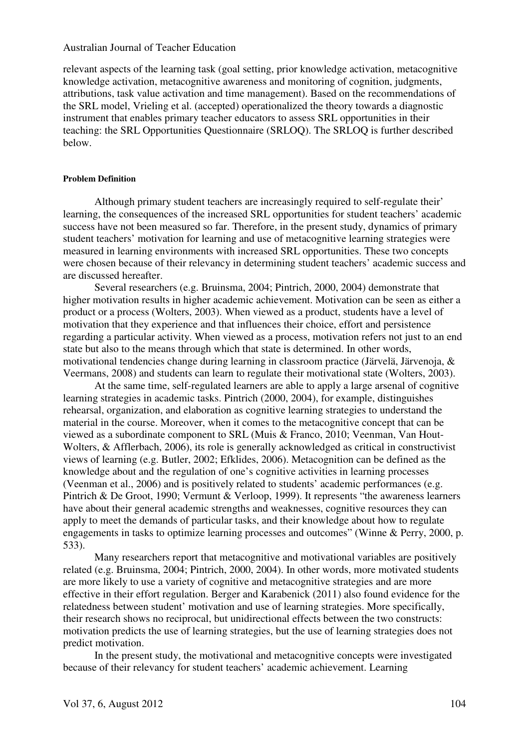relevant aspects of the learning task (goal setting, prior knowledge activation, metacognitive knowledge activation, metacognitive awareness and monitoring of cognition, judgments, attributions, task value activation and time management). Based on the recommendations of the SRL model, Vrieling et al. (accepted) operationalized the theory towards a diagnostic instrument that enables primary teacher educators to assess SRL opportunities in their teaching: the SRL Opportunities Questionnaire (SRLOQ). The SRLOQ is further described below.

## **Problem Definition**

 Although primary student teachers are increasingly required to self-regulate their' learning, the consequences of the increased SRL opportunities for student teachers' academic success have not been measured so far. Therefore, in the present study, dynamics of primary student teachers' motivation for learning and use of metacognitive learning strategies were measured in learning environments with increased SRL opportunities. These two concepts were chosen because of their relevancy in determining student teachers' academic success and are discussed hereafter.

 Several researchers (e.g. Bruinsma, 2004; Pintrich, 2000, 2004) demonstrate that higher motivation results in higher academic achievement. Motivation can be seen as either a product or a process (Wolters, 2003). When viewed as a product, students have a level of motivation that they experience and that influences their choice, effort and persistence regarding a particular activity. When viewed as a process, motivation refers not just to an end state but also to the means through which that state is determined. In other words, motivational tendencies change during learning in classroom practice (Järvelä, Järvenoja, & Veermans, 2008) and students can learn to regulate their motivational state (Wolters, 2003).

 At the same time, self-regulated learners are able to apply a large arsenal of cognitive learning strategies in academic tasks. Pintrich (2000, 2004), for example, distinguishes rehearsal, organization, and elaboration as cognitive learning strategies to understand the material in the course. Moreover, when it comes to the metacognitive concept that can be viewed as a subordinate component to SRL (Muis & Franco, 2010; Veenman, Van Hout-Wolters, & Afflerbach, 2006), its role is generally acknowledged as critical in constructivist views of learning (e.g. Butler, 2002; Efklides, 2006). Metacognition can be defined as the knowledge about and the regulation of one's cognitive activities in learning processes (Veenman et al., 2006) and is positively related to students' academic performances (e.g. Pintrich & De Groot, 1990; Vermunt & Verloop, 1999). It represents "the awareness learners have about their general academic strengths and weaknesses, cognitive resources they can apply to meet the demands of particular tasks, and their knowledge about how to regulate engagements in tasks to optimize learning processes and outcomes" (Winne & Perry, 2000, p. 533).

 Many researchers report that metacognitive and motivational variables are positively related (e.g. Bruinsma, 2004; Pintrich, 2000, 2004). In other words, more motivated students are more likely to use a variety of cognitive and metacognitive strategies and are more effective in their effort regulation. Berger and Karabenick (2011) also found evidence for the relatedness between student' motivation and use of learning strategies. More specifically, their research shows no reciprocal, but unidirectional effects between the two constructs: motivation predicts the use of learning strategies, but the use of learning strategies does not predict motivation.

 In the present study, the motivational and metacognitive concepts were investigated because of their relevancy for student teachers' academic achievement. Learning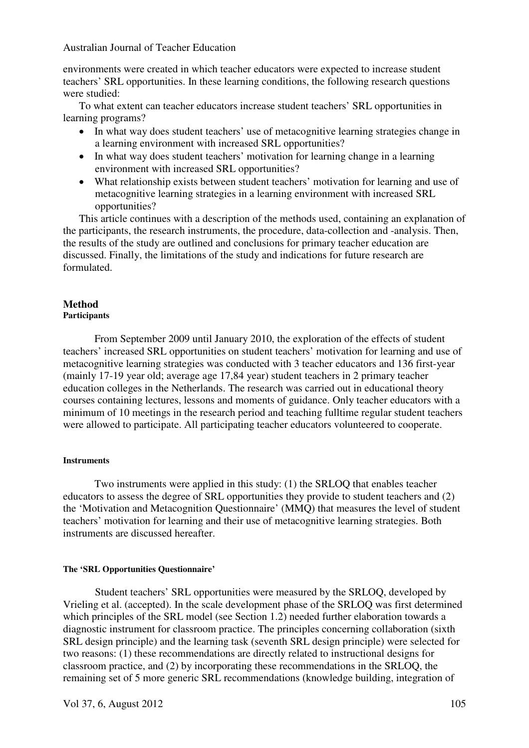environments were created in which teacher educators were expected to increase student teachers' SRL opportunities. In these learning conditions, the following research questions were studied:

To what extent can teacher educators increase student teachers' SRL opportunities in learning programs?

- In what way does student teachers' use of metacognitive learning strategies change in a learning environment with increased SRL opportunities?
- In what way does student teachers' motivation for learning change in a learning environment with increased SRL opportunities?
- What relationship exists between student teachers' motivation for learning and use of metacognitive learning strategies in a learning environment with increased SRL opportunities?

This article continues with a description of the methods used, containing an explanation of the participants, the research instruments, the procedure, data-collection and -analysis. Then, the results of the study are outlined and conclusions for primary teacher education are discussed. Finally, the limitations of the study and indications for future research are formulated.

# **Method**

# **Participants**

 From September 2009 until January 2010, the exploration of the effects of student teachers' increased SRL opportunities on student teachers' motivation for learning and use of metacognitive learning strategies was conducted with 3 teacher educators and 136 first-year (mainly 17-19 year old; average age 17,84 year) student teachers in 2 primary teacher education colleges in the Netherlands. The research was carried out in educational theory courses containing lectures, lessons and moments of guidance. Only teacher educators with a minimum of 10 meetings in the research period and teaching fulltime regular student teachers were allowed to participate. All participating teacher educators volunteered to cooperate.

#### **Instruments**

Two instruments were applied in this study: (1) the SRLOQ that enables teacher educators to assess the degree of SRL opportunities they provide to student teachers and (2) the 'Motivation and Metacognition Questionnaire' (MMQ) that measures the level of student teachers' motivation for learning and their use of metacognitive learning strategies. Both instruments are discussed hereafter.

#### **The 'SRL Opportunities Questionnaire'**

 Student teachers' SRL opportunities were measured by the SRLOQ, developed by Vrieling et al. (accepted). In the scale development phase of the SRLOQ was first determined which principles of the SRL model (see Section 1.2) needed further elaboration towards a diagnostic instrument for classroom practice. The principles concerning collaboration (sixth SRL design principle) and the learning task (seventh SRL design principle) were selected for two reasons: (1) these recommendations are directly related to instructional designs for classroom practice, and (2) by incorporating these recommendations in the SRLOQ, the remaining set of 5 more generic SRL recommendations (knowledge building, integration of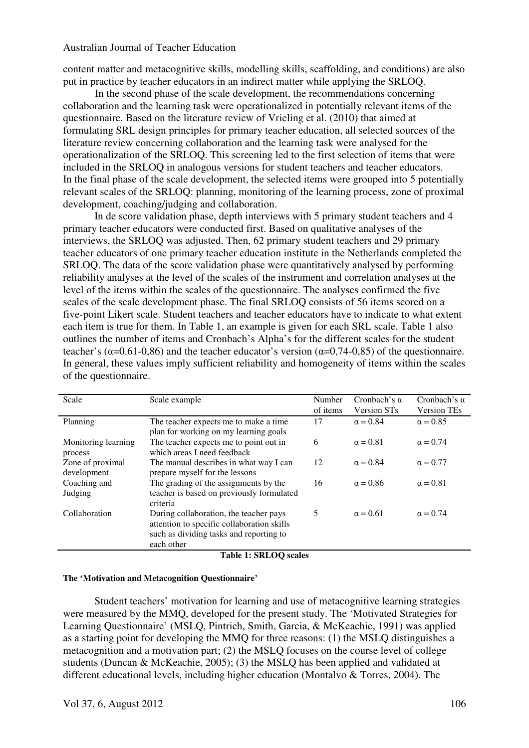content matter and metacognitive skills, modelling skills, scaffolding, and conditions) are also put in practice by teacher educators in an indirect matter while applying the SRLOQ.

 In the second phase of the scale development, the recommendations concerning collaboration and the learning task were operationalized in potentially relevant items of the questionnaire. Based on the literature review of Vrieling et al. (2010) that aimed at formulating SRL design principles for primary teacher education, all selected sources of the literature review concerning collaboration and the learning task were analysed for the operationalization of the SRLOQ. This screening led to the first selection of items that were included in the SRLOQ in analogous versions for student teachers and teacher educators. In the final phase of the scale development, the selected items were grouped into 5 potentially relevant scales of the SRLOQ: planning, monitoring of the learning process, zone of proximal development, coaching/judging and collaboration.

 In de score validation phase, depth interviews with 5 primary student teachers and 4 primary teacher educators were conducted first. Based on qualitative analyses of the interviews, the SRLOQ was adjusted. Then, 62 primary student teachers and 29 primary teacher educators of one primary teacher education institute in the Netherlands completed the SRLOQ. The data of the score validation phase were quantitatively analysed by performing reliability analyses at the level of the scales of the instrument and correlation analyses at the level of the items within the scales of the questionnaire. The analyses confirmed the five scales of the scale development phase. The final SRLOQ consists of 56 items scored on a five-point Likert scale. Student teachers and teacher educators have to indicate to what extent each item is true for them. In Table 1, an example is given for each SRL scale. Table 1 also outlines the number of items and Cronbach's Alpha's for the different scales for the student teacher's ( $\alpha$ =0.61-0,86) and the teacher educator's version ( $\alpha$ =0,74-0,85) of the questionnaire. In general, these values imply sufficient reliability and homogeneity of items within the scales of the questionnaire.

| Scale               | Scale example                              | Number<br>of items | Cronbach's $\alpha$<br><b>Version STs</b> | Cronbach's $\alpha$<br><b>Version TEs</b> |
|---------------------|--------------------------------------------|--------------------|-------------------------------------------|-------------------------------------------|
| Planning            | The teacher expects me to make a time.     | 17                 | $\alpha = 0.84$                           | $\alpha = 0.85$                           |
|                     | plan for working on my learning goals      |                    |                                           |                                           |
| Monitoring learning | The teacher expects me to point out in     | 6                  | $\alpha = 0.81$                           | $\alpha = 0.74$                           |
| process             | which areas I need feedback                |                    |                                           |                                           |
| Zone of proximal    | The manual describes in what way I can     | 12                 | $\alpha = 0.84$                           | $\alpha = 0.77$                           |
| development         | prepare myself for the lessons             |                    |                                           |                                           |
| Coaching and        | The grading of the assignments by the      | 16                 | $\alpha = 0.86$                           | $\alpha = 0.81$                           |
| Judging             | teacher is based on previously formulated  |                    |                                           |                                           |
|                     | criteria                                   |                    |                                           |                                           |
| Collaboration       | During collaboration, the teacher pays     | 5                  | $\alpha = 0.61$                           | $\alpha = 0.74$                           |
|                     | attention to specific collaboration skills |                    |                                           |                                           |
|                     | such as dividing tasks and reporting to    |                    |                                           |                                           |
|                     | each other                                 |                    |                                           |                                           |
|                     | $m + 1 + \alpha n + \alpha \alpha$         |                    |                                           |                                           |

**Table 1: SRLOQ scales** 

#### **The 'Motivation and Metacognition Questionnaire'**

 Student teachers' motivation for learning and use of metacognitive learning strategies were measured by the MMQ, developed for the present study. The 'Motivated Strategies for Learning Questionnaire' (MSLQ, Pintrich, Smith, Garcia, & McKeachie, 1991) was applied as a starting point for developing the MMQ for three reasons: (1) the MSLQ distinguishes a metacognition and a motivation part; (2) the MSLQ focuses on the course level of college students (Duncan & McKeachie, 2005); (3) the MSLQ has been applied and validated at different educational levels, including higher education (Montalvo & Torres, 2004). The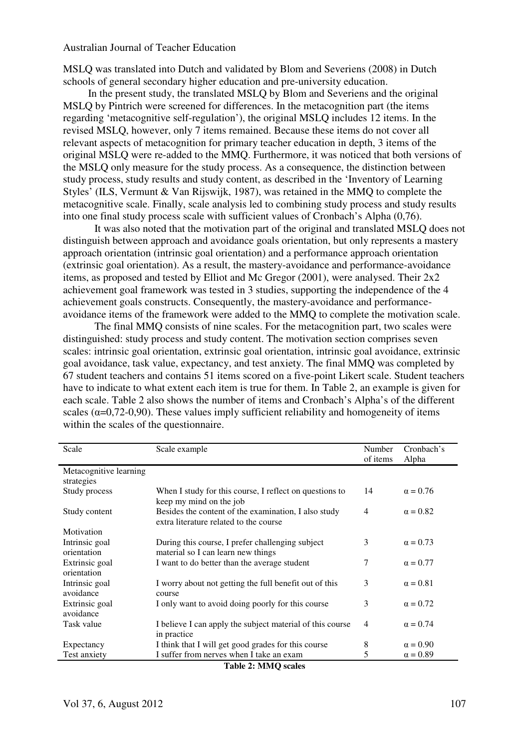MSLQ was translated into Dutch and validated by Blom and Severiens (2008) in Dutch schools of general secondary higher education and pre-university education.

 In the present study, the translated MSLQ by Blom and Severiens and the original MSLQ by Pintrich were screened for differences. In the metacognition part (the items regarding 'metacognitive self-regulation'), the original MSLQ includes 12 items. In the revised MSLQ, however, only 7 items remained. Because these items do not cover all relevant aspects of metacognition for primary teacher education in depth, 3 items of the original MSLQ were re-added to the MMQ. Furthermore, it was noticed that both versions of the MSLQ only measure for the study process. As a consequence, the distinction between study process, study results and study content, as described in the 'Inventory of Learning Styles' (ILS, Vermunt & Van Rijswijk, 1987), was retained in the MMQ to complete the metacognitive scale. Finally, scale analysis led to combining study process and study results into one final study process scale with sufficient values of Cronbach's Alpha (0,76).

 It was also noted that the motivation part of the original and translated MSLQ does not distinguish between approach and avoidance goals orientation, but only represents a mastery approach orientation (intrinsic goal orientation) and a performance approach orientation (extrinsic goal orientation). As a result, the mastery-avoidance and performance-avoidance items, as proposed and tested by Elliot and Mc Gregor (2001), were analysed. Their 2x2 achievement goal framework was tested in 3 studies, supporting the independence of the 4 achievement goals constructs. Consequently, the mastery-avoidance and performanceavoidance items of the framework were added to the MMQ to complete the motivation scale.

 The final MMQ consists of nine scales. For the metacognition part, two scales were distinguished: study process and study content. The motivation section comprises seven scales: intrinsic goal orientation, extrinsic goal orientation, intrinsic goal avoidance, extrinsic goal avoidance, task value, expectancy, and test anxiety. The final MMQ was completed by 67 student teachers and contains 51 items scored on a five-point Likert scale. Student teachers have to indicate to what extent each item is true for them. In Table 2, an example is given for each scale. Table 2 also shows the number of items and Cronbach's Alpha's of the different scales ( $\alpha$ =0,72-0,90). These values imply sufficient reliability and homogeneity of items within the scales of the questionnaire.

| Scale                         | Scale example                                                                                  | Number<br>of items | Cronbach's<br>Alpha |
|-------------------------------|------------------------------------------------------------------------------------------------|--------------------|---------------------|
| Metacognitive learning        |                                                                                                |                    |                     |
| strategies                    |                                                                                                |                    |                     |
| Study process                 | When I study for this course, I reflect on questions to<br>keep my mind on the job             | 14                 | $\alpha = 0.76$     |
| Study content                 | Besides the content of the examination, I also study<br>extra literature related to the course | 4                  | $\alpha = 0.82$     |
| Motivation                    |                                                                                                |                    |                     |
| Intrinsic goal<br>orientation | During this course, I prefer challenging subject<br>material so I can learn new things         | 3                  | $\alpha = 0.73$     |
| Extrinsic goal<br>orientation | I want to do better than the average student                                                   | 7                  | $\alpha = 0.77$     |
| Intrinsic goal<br>avoidance   | I worry about not getting the full benefit out of this<br>course                               | 3                  | $\alpha = 0.81$     |
| Extrinsic goal<br>avoidance   | I only want to avoid doing poorly for this course                                              | 3                  | $\alpha = 0.72$     |
| Task value                    | I believe I can apply the subject material of this course<br>in practice                       | 4                  | $\alpha = 0.74$     |
| Expectancy                    | I think that I will get good grades for this course                                            | 8                  | $\alpha = 0.90$     |
| Test anxiety                  | I suffer from nerves when I take an exam                                                       | 5                  | $\alpha = 0.89$     |

**Table 2: MMQ scales**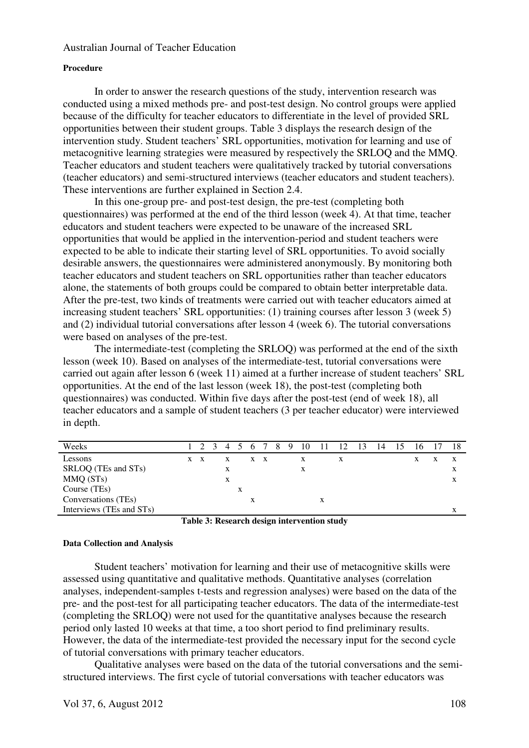#### **Procedure**

 In order to answer the research questions of the study, intervention research was conducted using a mixed methods pre- and post-test design. No control groups were applied because of the difficulty for teacher educators to differentiate in the level of provided SRL opportunities between their student groups. Table 3 displays the research design of the intervention study. Student teachers' SRL opportunities, motivation for learning and use of metacognitive learning strategies were measured by respectively the SRLOQ and the MMQ. Teacher educators and student teachers were qualitatively tracked by tutorial conversations (teacher educators) and semi-structured interviews (teacher educators and student teachers). These interventions are further explained in Section 2.4.

 In this one-group pre- and post-test design, the pre-test (completing both questionnaires) was performed at the end of the third lesson (week 4). At that time, teacher educators and student teachers were expected to be unaware of the increased SRL opportunities that would be applied in the intervention-period and student teachers were expected to be able to indicate their starting level of SRL opportunities. To avoid socially desirable answers, the questionnaires were administered anonymously. By monitoring both teacher educators and student teachers on SRL opportunities rather than teacher educators alone, the statements of both groups could be compared to obtain better interpretable data. After the pre-test, two kinds of treatments were carried out with teacher educators aimed at increasing student teachers' SRL opportunities: (1) training courses after lesson 3 (week 5) and (2) individual tutorial conversations after lesson 4 (week 6). The tutorial conversations were based on analyses of the pre-test.

 The intermediate-test (completing the SRLOQ) was performed at the end of the sixth lesson (week 10). Based on analyses of the intermediate-test, tutorial conversations were carried out again after lesson 6 (week 11) aimed at a further increase of student teachers' SRL opportunities. At the end of the last lesson (week 18), the post-test (completing both questionnaires) was conducted. Within five days after the post-test (end of week 18), all teacher educators and a sample of student teachers (3 per teacher educator) were interviewed in depth.

| Weeks                    |     |   |   |     | 4 5 6 7 | 8 | -9 | 10 | - 11 | - 12 | -13 | 14 | 16 | 18 |
|--------------------------|-----|---|---|-----|---------|---|----|----|------|------|-----|----|----|----|
| Lessons                  | X X | X |   | X X |         |   |    | X  |      | X    |     |    |    |    |
| SRLOQ (TEs and STs)      |     | X |   |     |         |   |    | х  |      |      |     |    |    | X  |
| MMQ (STs)                |     | X |   |     |         |   |    |    |      |      |     |    |    | X  |
| Course (TEs)             |     |   | x |     |         |   |    |    |      |      |     |    |    |    |
| Conversations (TEs)      |     |   |   | X   |         |   |    |    | X    |      |     |    |    |    |
| Interviews (TEs and STs) |     |   |   |     |         |   |    |    |      |      |     |    |    |    |

**Table 3: Research design intervention study** 

#### **Data Collection and Analysis**

 Student teachers' motivation for learning and their use of metacognitive skills were assessed using quantitative and qualitative methods. Quantitative analyses (correlation analyses, independent-samples t-tests and regression analyses) were based on the data of the pre- and the post-test for all participating teacher educators. The data of the intermediate-test (completing the SRLOQ) were not used for the quantitative analyses because the research period only lasted 10 weeks at that time, a too short period to find preliminary results. However, the data of the intermediate-test provided the necessary input for the second cycle of tutorial conversations with primary teacher educators.

 Qualitative analyses were based on the data of the tutorial conversations and the semistructured interviews. The first cycle of tutorial conversations with teacher educators was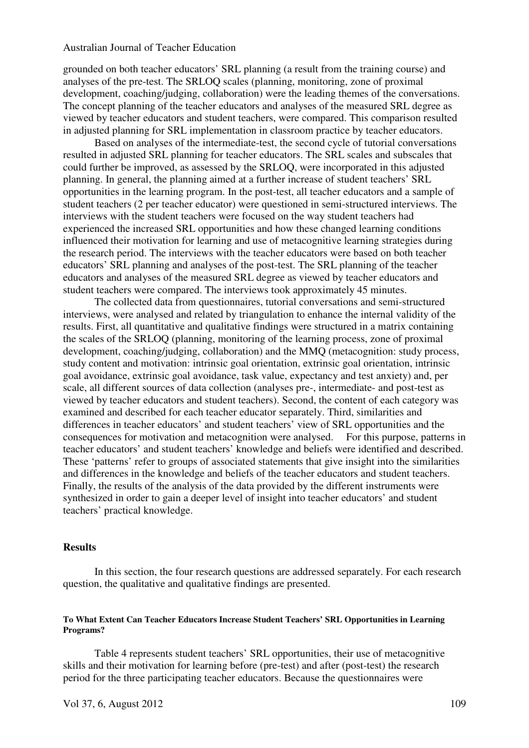grounded on both teacher educators' SRL planning (a result from the training course) and analyses of the pre-test. The SRLOQ scales (planning, monitoring, zone of proximal development, coaching/judging, collaboration) were the leading themes of the conversations. The concept planning of the teacher educators and analyses of the measured SRL degree as viewed by teacher educators and student teachers, were compared. This comparison resulted in adjusted planning for SRL implementation in classroom practice by teacher educators.

 Based on analyses of the intermediate-test, the second cycle of tutorial conversations resulted in adjusted SRL planning for teacher educators. The SRL scales and subscales that could further be improved, as assessed by the SRLOQ, were incorporated in this adjusted planning. In general, the planning aimed at a further increase of student teachers' SRL opportunities in the learning program. In the post-test, all teacher educators and a sample of student teachers (2 per teacher educator) were questioned in semi-structured interviews. The interviews with the student teachers were focused on the way student teachers had experienced the increased SRL opportunities and how these changed learning conditions influenced their motivation for learning and use of metacognitive learning strategies during the research period. The interviews with the teacher educators were based on both teacher educators' SRL planning and analyses of the post-test. The SRL planning of the teacher educators and analyses of the measured SRL degree as viewed by teacher educators and student teachers were compared. The interviews took approximately 45 minutes.

 The collected data from questionnaires, tutorial conversations and semi-structured interviews, were analysed and related by triangulation to enhance the internal validity of the results. First, all quantitative and qualitative findings were structured in a matrix containing the scales of the SRLOQ (planning, monitoring of the learning process, zone of proximal development, coaching/judging, collaboration) and the MMQ (metacognition: study process, study content and motivation: intrinsic goal orientation, extrinsic goal orientation, intrinsic goal avoidance, extrinsic goal avoidance, task value, expectancy and test anxiety) and, per scale, all different sources of data collection (analyses pre-, intermediate- and post-test as viewed by teacher educators and student teachers). Second, the content of each category was examined and described for each teacher educator separately. Third, similarities and differences in teacher educators' and student teachers' view of SRL opportunities and the consequences for motivation and metacognition were analysed. For this purpose, patterns in teacher educators' and student teachers' knowledge and beliefs were identified and described. These 'patterns' refer to groups of associated statements that give insight into the similarities and differences in the knowledge and beliefs of the teacher educators and student teachers. Finally, the results of the analysis of the data provided by the different instruments were synthesized in order to gain a deeper level of insight into teacher educators' and student teachers' practical knowledge.

### **Results**

In this section, the four research questions are addressed separately. For each research question, the qualitative and qualitative findings are presented.

## **To What Extent Can Teacher Educators Increase Student Teachers' SRL Opportunities in Learning Programs?**

Table 4 represents student teachers' SRL opportunities, their use of metacognitive skills and their motivation for learning before (pre-test) and after (post-test) the research period for the three participating teacher educators. Because the questionnaires were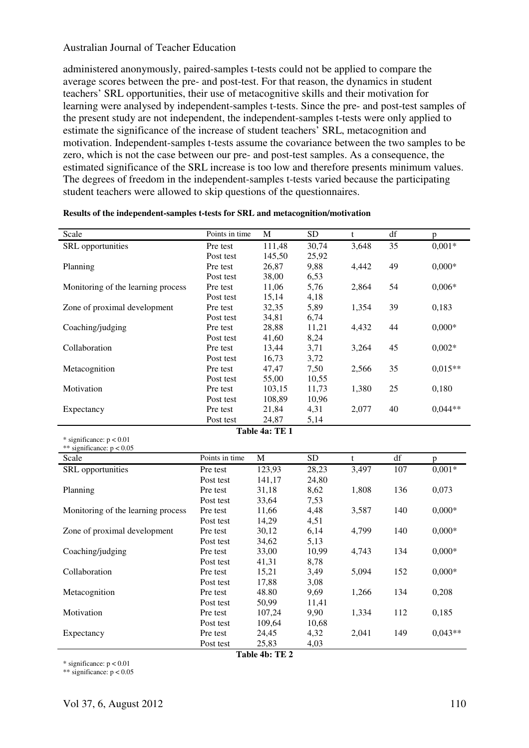administered anonymously, paired-samples t-tests could not be applied to compare the average scores between the pre- and post-test. For that reason, the dynamics in student teachers' SRL opportunities, their use of metacognitive skills and their motivation for learning were analysed by independent-samples t-tests. Since the pre- and post-test samples of the present study are not independent, the independent-samples t-tests were only applied to estimate the significance of the increase of student teachers' SRL, metacognition and motivation. Independent-samples t-tests assume the covariance between the two samples to be zero, which is not the case between our pre- and post-test samples. As a consequence, the estimated significance of the SRL increase is too low and therefore presents minimum values. The degrees of freedom in the independent-samples t-tests varied because the participating student teachers were allowed to skip questions of the questionnaires.

| Scale                              | Points in time | M              | <b>SD</b>       | t            | df              | p         |  |
|------------------------------------|----------------|----------------|-----------------|--------------|-----------------|-----------|--|
| SRL opportunities                  | Pre test       | 111,48         | 30,74           | 3,648        | 35              | $0,001*$  |  |
|                                    | Post test      | 145,50         | 25,92           |              |                 |           |  |
| Planning                           | Pre test       | 26,87          | 9,88            | 4,442        | 49              | $0,000*$  |  |
|                                    | Post test      | 38,00          | 6,53            |              |                 |           |  |
| Monitoring of the learning process | Pre test       | 11,06          | 5,76            | 2,864        | 54              | $0,006*$  |  |
|                                    | Post test      | 15,14          | 4,18            |              |                 |           |  |
| Zone of proximal development       | Pre test       | 32,35          | 5,89            | 1,354        | 39              | 0,183     |  |
|                                    | Post test      | 34,81          | 6,74            |              |                 |           |  |
| Coaching/judging                   | Pre test       | 28,88          | 11,21           | 4,432        | 44              | $0,000*$  |  |
|                                    | Post test      | 41,60          | 8,24            |              |                 |           |  |
| Collaboration                      | Pre test       | 13,44          | 3,71            | 3,264        | 45              | $0,002*$  |  |
|                                    | Post test      | 16,73          | 3,72            |              |                 |           |  |
| Metacognition                      | Pre test       | 47,47          | 7,50            | 2,566        | 35              | $0.015**$ |  |
|                                    | Post test      | 55,00          | 10,55           |              |                 |           |  |
| Motivation                         | Pre test       | 103,15         | 11,73           | 1,380        | 25              | 0,180     |  |
|                                    | Post test      | 108,89         | 10,96           |              |                 |           |  |
| Expectancy                         | Pre test       | 21,84          | 4,31            | 2,077        | 40              | $0.044**$ |  |
|                                    | Post test      | 24,87          | 5,14            |              |                 |           |  |
|                                    |                | Table 4a: TE 1 |                 |              |                 |           |  |
| * significance: $p < 0.01$         |                |                |                 |              |                 |           |  |
|                                    |                |                |                 |              |                 |           |  |
| ** significance: $p < 0.05$        |                |                |                 |              |                 |           |  |
| Scale                              | Points in time | $\overline{M}$ | $\overline{SD}$ | $\mathbf{t}$ | $\overline{df}$ | p         |  |
| SRL opportunities                  | Pre test       | 123,93         | 28,23           | 3,497        | 107             | $0,001*$  |  |
|                                    | Post test      | 141,17         | 24,80           |              |                 |           |  |
| Planning                           | Pre test       | 31,18          | 8,62            | 1,808        | 136             | 0,073     |  |
|                                    | Post test      | 33,64          | 7,53            |              |                 |           |  |
| Monitoring of the learning process | Pre test       | 11,66          | 4,48            | 3,587        | 140             | $0,000*$  |  |
|                                    | Post test      | 14,29          | 4,51            |              |                 |           |  |
| Zone of proximal development       | Pre test       | 30,12          | 6,14            | 4,799        | 140             | $0,000*$  |  |
|                                    | Post test      | 34,62          | 5,13            |              |                 |           |  |
| Coaching/judging                   | Pre test       | 33,00          | 10,99           | 4,743        | 134             | $0,000*$  |  |
|                                    | Post test      | 41,31          | 8,78            |              |                 |           |  |
| Collaboration                      | Pre test       | 15,21          | 3,49            | 5,094        | 152             | $0,000*$  |  |
|                                    | Post test      | 17,88          | 3,08            |              |                 |           |  |
| Metacognition                      | Pre test       | 48.80          | 9,69            | 1,266        | 134             | 0,208     |  |
|                                    | Post test      | 50,99          | 11,41           |              |                 |           |  |
| Motivation                         | Pre test       | 107,24         | 9,90            | 1,334        | 112             | 0,185     |  |
|                                    | Post test      | 109,64         | 10,68           |              |                 |           |  |
| Expectancy                         | Pre test       | 24,45<br>25,83 | 4,32<br>4,03    | 2,041        | 149             | $0,043**$ |  |

#### **Results of the independent-samples t-tests for SRL and metacognition/motivation**

**Table 4b: TE 2**

\* significance:  $p < 0.01$ \*\* significance:  $p < 0.05$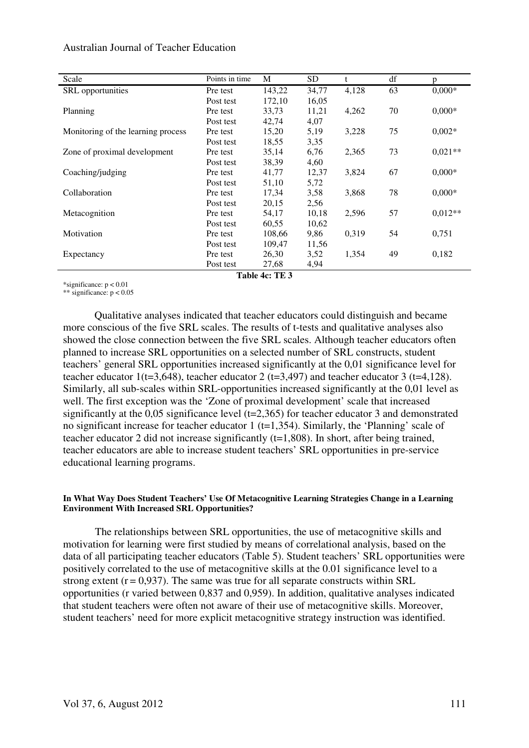| Scale                              | Points in time | M      | SD.   | t     | df | p         |
|------------------------------------|----------------|--------|-------|-------|----|-----------|
| <b>SRL</b> opportunities           | Pre test       | 143,22 | 34,77 | 4,128 | 63 | $0,000*$  |
|                                    | Post test      | 172,10 | 16,05 |       |    |           |
| Planning                           | Pre test       | 33,73  | 11,21 | 4,262 | 70 | $0,000*$  |
|                                    | Post test      | 42,74  | 4,07  |       |    |           |
| Monitoring of the learning process | Pre test       | 15,20  | 5,19  | 3,228 | 75 | $0,002*$  |
|                                    | Post test      | 18,55  | 3,35  |       |    |           |
| Zone of proximal development       | Pre test       | 35,14  | 6,76  | 2,365 | 73 | $0,021**$ |
|                                    | Post test      | 38,39  | 4,60  |       |    |           |
| Coaching/judging                   | Pre test       | 41,77  | 12,37 | 3,824 | 67 | $0,000*$  |
|                                    | Post test      | 51,10  | 5,72  |       |    |           |
| Collaboration                      | Pre test       | 17,34  | 3,58  | 3,868 | 78 | $0,000*$  |
|                                    | Post test      | 20,15  | 2,56  |       |    |           |
| Metacognition                      | Pre test       | 54,17  | 10,18 | 2,596 | 57 | $0.012**$ |
|                                    | Post test      | 60,55  | 10,62 |       |    |           |
| Motivation                         | Pre test       | 108,66 | 9,86  | 0,319 | 54 | 0,751     |
|                                    | Post test      | 109,47 | 11,56 |       |    |           |
| Expectancy                         | Pre test       | 26,30  | 3,52  | 1,354 | 49 | 0,182     |
|                                    | Post test      | 27,68  | 4,94  |       |    |           |

**Table 4c: TE 3**

\*significance: p < 0.01

\*\* significance:  $p < 0.05$ 

Qualitative analyses indicated that teacher educators could distinguish and became more conscious of the five SRL scales. The results of t-tests and qualitative analyses also showed the close connection between the five SRL scales. Although teacher educators often planned to increase SRL opportunities on a selected number of SRL constructs, student teachers' general SRL opportunities increased significantly at the 0,01 significance level for teacher educator 1(t=3,648), teacher educator 2 (t=3,497) and teacher educator 3 (t=4,128). Similarly, all sub-scales within SRL-opportunities increased significantly at the 0,01 level as well. The first exception was the 'Zone of proximal development' scale that increased significantly at the 0,05 significance level (t=2,365) for teacher educator 3 and demonstrated no significant increase for teacher educator 1 ( $t=1,354$ ). Similarly, the 'Planning' scale of teacher educator 2 did not increase significantly (t=1,808). In short, after being trained, teacher educators are able to increase student teachers' SRL opportunities in pre-service educational learning programs.

#### **In What Way Does Student Teachers' Use Of Metacognitive Learning Strategies Change in a Learning Environment With Increased SRL Opportunities?**

 The relationships between SRL opportunities, the use of metacognitive skills and motivation for learning were first studied by means of correlational analysis, based on the data of all participating teacher educators (Table 5). Student teachers' SRL opportunities were positively correlated to the use of metacognitive skills at the 0.01 significance level to a strong extent  $(r = 0.937)$ . The same was true for all separate constructs within SRL opportunities (r varied between 0,837 and 0,959). In addition, qualitative analyses indicated that student teachers were often not aware of their use of metacognitive skills. Moreover, student teachers' need for more explicit metacognitive strategy instruction was identified.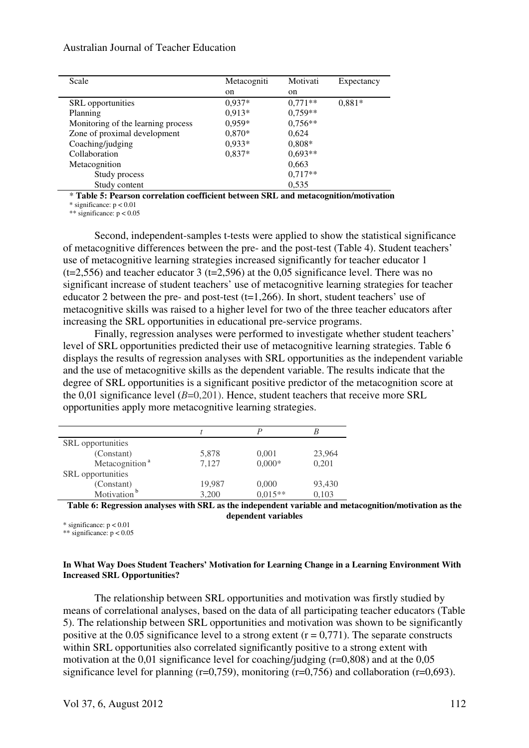| Scale                              | Metacogniti | Motivati  | Expectancy |
|------------------------------------|-------------|-----------|------------|
|                                    | on          | on        |            |
| <b>SRL</b> opportunities           | $0.937*$    | $0.771**$ | $0,881*$   |
| Planning                           | $0.913*$    | $0,759**$ |            |
| Monitoring of the learning process | $0,959*$    | $0,756**$ |            |
| Zone of proximal development       | $0,870*$    | 0.624     |            |
| Coaching/judging                   | $0,933*$    | $0,808*$  |            |
| Collaboration                      | $0.837*$    | $0,693**$ |            |
| Metacognition                      |             | 0,663     |            |
| Study process                      |             | $0.717**$ |            |
| Study content                      |             | 0,535     |            |

\* **Table 5: Pearson correlation coefficient between SRL and metacognition/motivation**

\* significance:  $p < 0.01$ 

\*\* significance:  $p < 0.05$ 

 Second, independent-samples t-tests were applied to show the statistical significance of metacognitive differences between the pre- and the post-test (Table 4). Student teachers' use of metacognitive learning strategies increased significantly for teacher educator 1  $(t=2,556)$  and teacher educator 3 ( $t=2,596$ ) at the 0,05 significance level. There was no significant increase of student teachers' use of metacognitive learning strategies for teacher educator 2 between the pre- and post-test  $(t=1,266)$ . In short, student teachers' use of metacognitive skills was raised to a higher level for two of the three teacher educators after increasing the SRL opportunities in educational pre-service programs.

 Finally, regression analyses were performed to investigate whether student teachers' level of SRL opportunities predicted their use of metacognitive learning strategies. Table 6 displays the results of regression analyses with SRL opportunities as the independent variable and the use of metacognitive skills as the dependent variable. The results indicate that the degree of SRL opportunities is a significant positive predictor of the metacognition score at the 0,01 significance level  $(B=0,201)$ . Hence, student teachers that receive more SRL opportunities apply more metacognitive learning strategies.

| <b>SRL</b> opportunities   |        |           |        |
|----------------------------|--------|-----------|--------|
| (Constant)                 | 5,878  | 0,001     | 23,964 |
| Metacognition <sup>a</sup> | 7.127  | $0,000*$  | 0,201  |
| <b>SRL</b> opportunities   |        |           |        |
| (Constant)                 | 19,987 | 0,000     | 93,430 |
| Motivation <sup>b</sup>    | 3,200  | $0.015**$ | 0,103  |

**Table 6: Regression analyses with SRL as the independent variable and metacognition/motivation as the dependent variables** 

 $*$  significance:  $p < 0.01$ 

\*\* significance: p < 0.05

#### **In What Way Does Student Teachers' Motivation for Learning Change in a Learning Environment With Increased SRL Opportunities?**

The relationship between SRL opportunities and motivation was firstly studied by means of correlational analyses, based on the data of all participating teacher educators (Table 5). The relationship between SRL opportunities and motivation was shown to be significantly positive at the 0.05 significance level to a strong extent  $(r = 0.771)$ . The separate constructs within SRL opportunities also correlated significantly positive to a strong extent with motivation at the 0,01 significance level for coaching/judging (r=0,808) and at the 0,05 significance level for planning ( $r=0,759$ ), monitoring ( $r=0,756$ ) and collaboration ( $r=0,693$ ).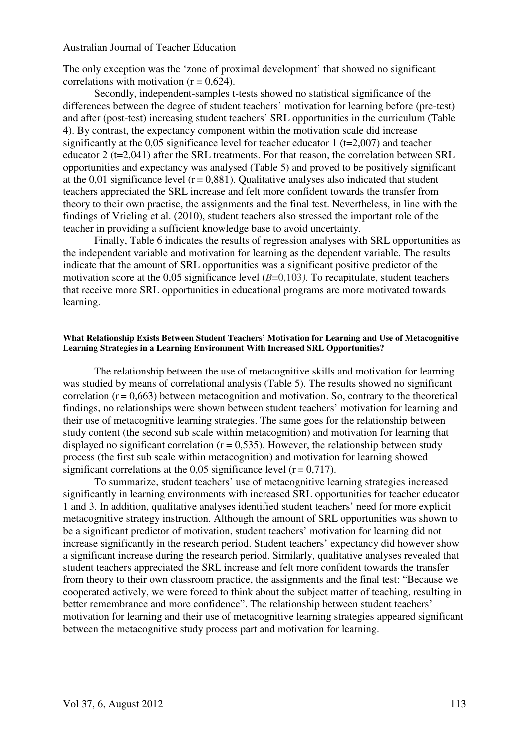The only exception was the 'zone of proximal development' that showed no significant correlations with motivation  $(r = 0.624)$ .

 Secondly, independent-samples t-tests showed no statistical significance of the differences between the degree of student teachers' motivation for learning before (pre-test) and after (post-test) increasing student teachers' SRL opportunities in the curriculum (Table 4). By contrast, the expectancy component within the motivation scale did increase significantly at the 0,05 significance level for teacher educator 1 (t=2,007) and teacher educator 2 (t=2,041) after the SRL treatments. For that reason, the correlation between SRL opportunities and expectancy was analysed (Table 5) and proved to be positively significant at the 0,01 significance level  $(r = 0.881)$ . Qualitative analyses also indicated that student teachers appreciated the SRL increase and felt more confident towards the transfer from theory to their own practise, the assignments and the final test. Nevertheless, in line with the findings of Vrieling et al. (2010), student teachers also stressed the important role of the teacher in providing a sufficient knowledge base to avoid uncertainty.

 Finally, Table 6 indicates the results of regression analyses with SRL opportunities as the independent variable and motivation for learning as the dependent variable. The results indicate that the amount of SRL opportunities was a significant positive predictor of the motivation score at the 0,05 significance level (*B*=0,103). To recapitulate, student teachers that receive more SRL opportunities in educational programs are more motivated towards learning.

#### **What Relationship Exists Between Student Teachers' Motivation for Learning and Use of Metacognitive Learning Strategies in a Learning Environment With Increased SRL Opportunities?**

The relationship between the use of metacognitive skills and motivation for learning was studied by means of correlational analysis (Table 5). The results showed no significant correlation  $(r = 0.663)$  between metacognition and motivation. So, contrary to the theoretical findings, no relationships were shown between student teachers' motivation for learning and their use of metacognitive learning strategies. The same goes for the relationship between study content (the second sub scale within metacognition) and motivation for learning that displayed no significant correlation ( $r = 0.535$ ). However, the relationship between study process (the first sub scale within metacognition) and motivation for learning showed significant correlations at the 0,05 significance level  $(r = 0.717)$ .

 To summarize, student teachers' use of metacognitive learning strategies increased significantly in learning environments with increased SRL opportunities for teacher educator 1 and 3. In addition, qualitative analyses identified student teachers' need for more explicit metacognitive strategy instruction. Although the amount of SRL opportunities was shown to be a significant predictor of motivation, student teachers' motivation for learning did not increase significantly in the research period. Student teachers' expectancy did however show a significant increase during the research period. Similarly, qualitative analyses revealed that student teachers appreciated the SRL increase and felt more confident towards the transfer from theory to their own classroom practice, the assignments and the final test: "Because we cooperated actively, we were forced to think about the subject matter of teaching, resulting in better remembrance and more confidence". The relationship between student teachers' motivation for learning and their use of metacognitive learning strategies appeared significant between the metacognitive study process part and motivation for learning.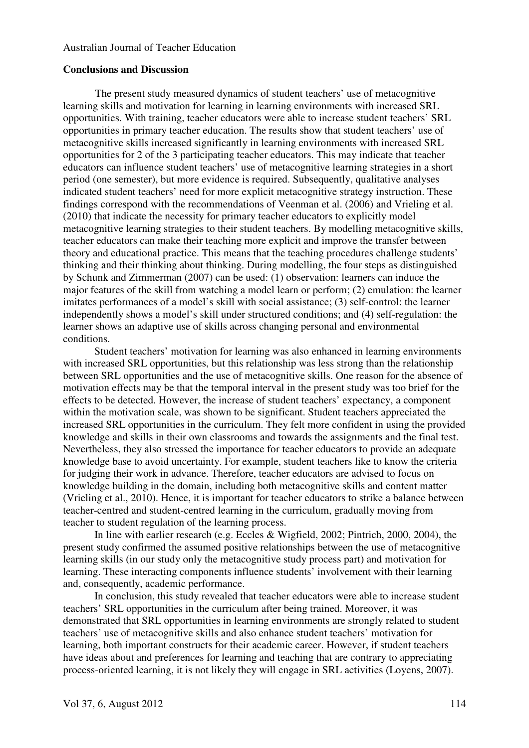### **Conclusions and Discussion**

 The present study measured dynamics of student teachers' use of metacognitive learning skills and motivation for learning in learning environments with increased SRL opportunities. With training, teacher educators were able to increase student teachers' SRL opportunities in primary teacher education. The results show that student teachers' use of metacognitive skills increased significantly in learning environments with increased SRL opportunities for 2 of the 3 participating teacher educators. This may indicate that teacher educators can influence student teachers' use of metacognitive learning strategies in a short period (one semester), but more evidence is required. Subsequently, qualitative analyses indicated student teachers' need for more explicit metacognitive strategy instruction. These findings correspond with the recommendations of Veenman et al. (2006) and Vrieling et al. (2010) that indicate the necessity for primary teacher educators to explicitly model metacognitive learning strategies to their student teachers. By modelling metacognitive skills, teacher educators can make their teaching more explicit and improve the transfer between theory and educational practice. This means that the teaching procedures challenge students' thinking and their thinking about thinking. During modelling, the four steps as distinguished by Schunk and Zimmerman (2007) can be used: (1) observation: learners can induce the major features of the skill from watching a model learn or perform; (2) emulation: the learner imitates performances of a model's skill with social assistance; (3) self-control: the learner independently shows a model's skill under structured conditions; and (4) self-regulation: the learner shows an adaptive use of skills across changing personal and environmental conditions.

 Student teachers' motivation for learning was also enhanced in learning environments with increased SRL opportunities, but this relationship was less strong than the relationship between SRL opportunities and the use of metacognitive skills. One reason for the absence of motivation effects may be that the temporal interval in the present study was too brief for the effects to be detected. However, the increase of student teachers' expectancy, a component within the motivation scale, was shown to be significant. Student teachers appreciated the increased SRL opportunities in the curriculum. They felt more confident in using the provided knowledge and skills in their own classrooms and towards the assignments and the final test. Nevertheless, they also stressed the importance for teacher educators to provide an adequate knowledge base to avoid uncertainty. For example, student teachers like to know the criteria for judging their work in advance. Therefore, teacher educators are advised to focus on knowledge building in the domain, including both metacognitive skills and content matter (Vrieling et al., 2010). Hence, it is important for teacher educators to strike a balance between teacher-centred and student-centred learning in the curriculum, gradually moving from teacher to student regulation of the learning process.

 In line with earlier research (e.g. Eccles & Wigfield, 2002; Pintrich, 2000, 2004), the present study confirmed the assumed positive relationships between the use of metacognitive learning skills (in our study only the metacognitive study process part) and motivation for learning. These interacting components influence students' involvement with their learning and, consequently, academic performance.

 In conclusion, this study revealed that teacher educators were able to increase student teachers' SRL opportunities in the curriculum after being trained. Moreover, it was demonstrated that SRL opportunities in learning environments are strongly related to student teachers' use of metacognitive skills and also enhance student teachers' motivation for learning, both important constructs for their academic career. However, if student teachers have ideas about and preferences for learning and teaching that are contrary to appreciating process-oriented learning, it is not likely they will engage in SRL activities (Loyens, 2007).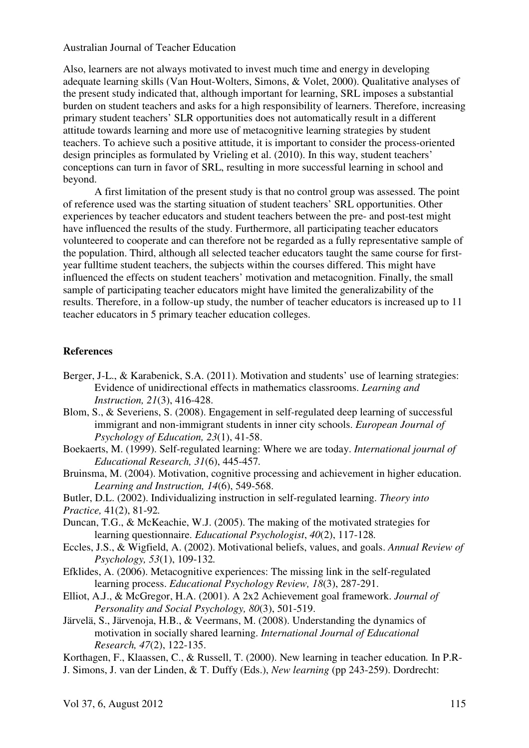Also, learners are not always motivated to invest much time and energy in developing adequate learning skills (Van Hout-Wolters, Simons, & Volet, 2000). Qualitative analyses of the present study indicated that, although important for learning, SRL imposes a substantial burden on student teachers and asks for a high responsibility of learners. Therefore, increasing primary student teachers' SLR opportunities does not automatically result in a different attitude towards learning and more use of metacognitive learning strategies by student teachers. To achieve such a positive attitude, it is important to consider the process-oriented design principles as formulated by Vrieling et al. (2010). In this way, student teachers' conceptions can turn in favor of SRL, resulting in more successful learning in school and beyond.

 A first limitation of the present study is that no control group was assessed. The point of reference used was the starting situation of student teachers' SRL opportunities. Other experiences by teacher educators and student teachers between the pre- and post-test might have influenced the results of the study. Furthermore, all participating teacher educators volunteered to cooperate and can therefore not be regarded as a fully representative sample of the population. Third, although all selected teacher educators taught the same course for firstyear fulltime student teachers, the subjects within the courses differed. This might have influenced the effects on student teachers' motivation and metacognition. Finally, the small sample of participating teacher educators might have limited the generalizability of the results. Therefore, in a follow-up study, the number of teacher educators is increased up to 11 teacher educators in 5 primary teacher education colleges.

# **References**

- Berger, J-L., & Karabenick, S.A. (2011). Motivation and students' use of learning strategies: Evidence of unidirectional effects in mathematics classrooms. *Learning and Instruction, 21*(3), 416-428.
- Blom, S., & Severiens, S. (2008). Engagement in self-regulated deep learning of successful immigrant and non-immigrant students in inner city schools. *European Journal of Psychology of Education, 23*(1), 41-58.
- Boekaerts, M. (1999). Self-regulated learning: Where we are today. *International journal of Educational Research, 31*(6), 445-457*.*
- Bruinsma, M. (2004). Motivation, cognitive processing and achievement in higher education. *Learning and Instruction, 14*(6), 549-568.
- Butler, D.L. (2002). Individualizing instruction in self-regulated learning. *Theory into Practice,* 41(2), 81-92*.*
- Duncan, T.G., & McKeachie, W.J. (2005). The making of the motivated strategies for learning questionnaire. *Educational Psychologist*, *40*(2), 117-128*.*
- Eccles, J.S., & Wigfield, A. (2002). Motivational beliefs, values, and goals. *Annual Review of Psychology, 53*(1), 109-132*.*
- Efklides, A. (2006). Metacognitive experiences: The missing link in the self-regulated learning process. *Educational Psychology Review, 18*(3), 287-291.
- Elliot, A.J., & McGregor, H.A. (2001). A 2x2 Achievement goal framework. *Journal of Personality and Social Psychology, 80*(3), 501-519.
- Järvelä, S., Järvenoja, H.B., & Veermans, M. (2008). Understanding the dynamics of motivation in socially shared learning. *International Journal of Educational Research, 47*(2), 122-135.

Korthagen, F., Klaassen, C., & Russell, T. (2000). New learning in teacher education*.* In P.R-J. Simons, J. van der Linden, & T. Duffy (Eds.), *New learning* (pp 243-259). Dordrecht: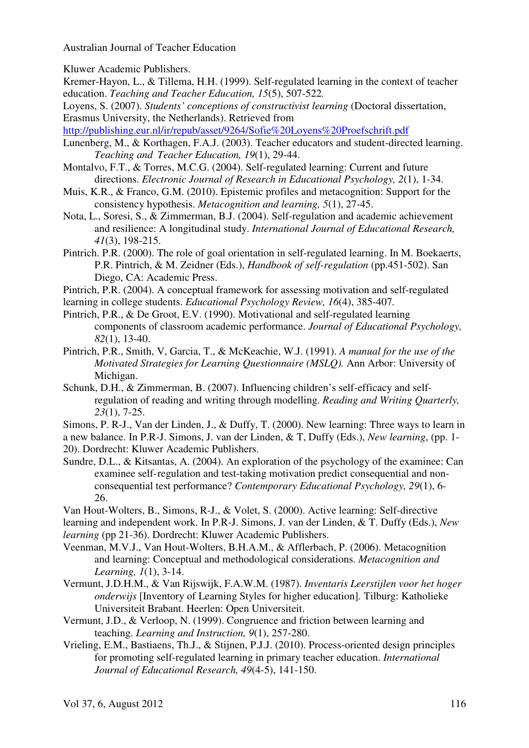Kluwer Academic Publishers.

- Kremer-Hayon, L., & Tillema, H.H. (1999). Self-regulated learning in the context of teacher education. *Teaching and Teacher Education, 15*(5), 507-522*.*
- Loyens, S. (2007). *Students' conceptions of constructivist learning* (Doctoral dissertation, Erasmus University, the Netherlands). Retrieved from

http://publishing.eur.nl/ir/repub/asset/9264/Sofie%20Loyens%20Proefschrift.pdf

- Lunenberg, M., & Korthagen, F.A.J. (2003). Teacher educators and student-directed learning. *Teaching and Teacher Education, 19*(1), 29-44.
- Montalvo, F.T., & Torres, M.C.G. (2004). Self-regulated learning: Current and future directions. *Electronic Journal of Research in Educational Psychology, 2*(1), 1-34.
- Muis, K.R., & Franco, G.M. (2010). Epistemic profiles and metacognition: Support for the consistency hypothesis. *Metacognition and learning, 5*(1), 27-45.
- Nota, L., Soresi, S., & Zimmerman, B.J. (2004). Self-regulation and academic achievement and resilience: A longitudinal study. *International Journal of Educational Research, 41*(3), 198-215.
- Pintrich. P.R. (2000). The role of goal orientation in self-regulated learning. In M. Boekaerts, P.R. Pintrich, & M. Zeidner (Eds.), *Handbook of self-regulation* (pp.451-502). San Diego, CA: Academic Press.
- Pintrich, P.R. (2004). A conceptual framework for assessing motivation and self-regulated
- learning in college students. *Educational Psychology Review, 16*(4), 385-407*.*
- Pintrich, P.R., & De Groot, E.V. (1990). Motivational and self-regulated learning components of classroom academic performance. *Journal of Educational Psychology, 82*(1), 13-40.
- Pintrich, P.R., Smith, V, Garcia, T., & McKeachie, W.J. (1991). *A manual for the use of the Motivated Strategies for Learning Questionnaire (MSLQ).* Ann Arbor: University of Michigan.
- Schunk, D.H., & Zimmerman, B. (2007). Influencing children's self-efficacy and self regulation of reading and writing through modelling. *Reading and Writing Quarterly, 23*(1), 7-25.
- Simons, P. R-J., Van der Linden, J., & Duffy, T. (2000). New learning: Three ways to learn in a new balance. In P.R-J. Simons, J. van der Linden, & T, Duffy (Eds.), *New learning*, (pp. 1- 20). Dordrecht: Kluwer Academic Publishers.
- Sundre, D.L., & Kitsantas, A. (2004). An exploration of the psychology of the examinee: Can examinee self- regulation and test-taking motivation predict consequential and non consequential test performance? *Contemporary Educational Psychology, 29*(1), 6- 26.

Van Hout-Wolters, B., Simons, R-J., & Volet, S. (2000). Active learning: Self-directive learning and independent work. In P.R-J. Simons, J. van der Linden, & T. Duffy (Eds.), *New learning* (pp 21-36). Dordrecht: Kluwer Academic Publishers.

- Veenman, M.V.J., Van Hout-Wolters, B.H.A.M., & Afflerbach, P. (2006). Metacognition and learning: Conceptual and methodological considerations. *Metacognition and Learning, 1*(1), 3-14.
- Vermunt, J.D.H.M., & Van Rijswijk, F.A.W.M. (1987). *Inventaris Leerstijlen voor het hoger onderwijs* [Inventory of Learning Styles for higher education]*.* Tilburg: Katholieke Universiteit Brabant. Heerlen: Open Universiteit.
- Vermunt, J.D., & Verloop, N. (1999). Congruence and friction between learning and teaching. *Learning and Instruction, 9*(1), 257-280.
- Vrieling, E.M., Bastiaens, Th.J., & Stijnen, P.J.J. (2010). Process-oriented design principles for promoting self-regulated learning in primary teacher education. *International Journal of Educational Research, 49*(4-5), 141-150.